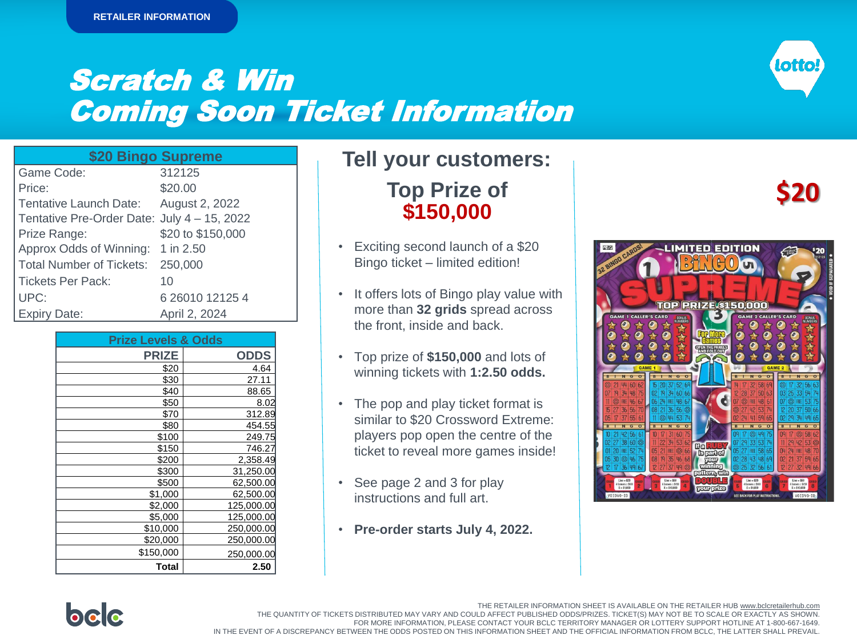## Scratch & Win Coming Soon Ticket Information



| \$20 Bingo Supreme                          |                   |
|---------------------------------------------|-------------------|
| Game Code:                                  | 312125            |
| Price:                                      | \$20.00           |
| Tentative Launch Date: August 2, 2022       |                   |
| Tentative Pre-Order Date: July 4 - 15, 2022 |                   |
| Prize Range:                                | \$20 to \$150,000 |
| Approx Odds of Winning: 1 in 2.50           |                   |
| <b>Total Number of Tickets:</b>             | 250,000           |
| <b>Tickets Per Pack:</b>                    | 10                |
| UPC:                                        | 6 26010 12125 4   |
| <b>Expiry Date:</b>                         | April 2, 2024     |

| <b>Prize Levels &amp; Odds</b> |             |  |  |  |  |
|--------------------------------|-------------|--|--|--|--|
| <b>PRIZE</b>                   | <b>ODDS</b> |  |  |  |  |
| \$20                           | 4.64        |  |  |  |  |
| \$30                           | 27.11       |  |  |  |  |
| \$40                           | 88.65       |  |  |  |  |
| \$50                           | 8.02        |  |  |  |  |
| \$70                           | 312.89      |  |  |  |  |
| \$80                           | 454.55      |  |  |  |  |
| \$100                          | 249.75      |  |  |  |  |
| \$150                          | 746.27      |  |  |  |  |
| \$200                          | 2,358.49    |  |  |  |  |
| \$300                          | 31,250.00   |  |  |  |  |
| \$500                          | 62,500.00   |  |  |  |  |
| \$1,000                        | 62,500.00   |  |  |  |  |
| \$2,000                        | 125,000.00  |  |  |  |  |
| \$5,000                        | 125,000.00  |  |  |  |  |
| \$10,000                       | 250,000.00  |  |  |  |  |
| \$20,000                       | 250,000.00  |  |  |  |  |
| \$150,000                      | 250,000.00  |  |  |  |  |
| <b>Total</b>                   | 2.50        |  |  |  |  |

### **Tell your customers:**

**Top Prize of \$150,000**

- Exciting second launch of a \$20 Bingo ticket – limited edition!
- It offers lots of Bingo play value with more than **32 grids** spread across the front, inside and back.
- Top prize of **\$150,000** and lots of winning tickets with **1:2.50 odds.**
- The pop and play ticket format is similar to \$20 Crossword Extreme: players pop open the centre of the ticket to reveal more games inside!
- See page 2 and 3 for play instructions and full art.
- **Pre-order starts July 4, 2022.**

# **\$20**





The Retailer Information Sheet is also available on bclcretailerhub.com. THE QUANTITY OF TICKETS DISTRIBUTED MAY VARY AND COULD AFFECT PUBLISHED ODDS/PRIZES. TICKET(S) MAY NOT BE TO SCALE OR EXACTLY AS SHOWN. For more information, please contact your BCLC Territory Manager or Lottery Support Hotline at 1-800-667-1649. FOR MORE INFORMATION, PLEASE CONTACT YOUR BCLC TERRITORY MANAGER OR LOTTERY SUPPORT HOTLINE AT 1-800-667-1649. THE RETAILER INFORMATION SHEET IS AVAILABLE ON THE RETAILER HUB www.bclcretailerhub.com IN THE EVENT OF A DISCREPANCY BETWEEN THE ODDS POSTED ON THIS INFORMATION SHEET AND THE OFFICIAL INFORMATION FROM BCLC, THE LATTER SHALL PREVAIL.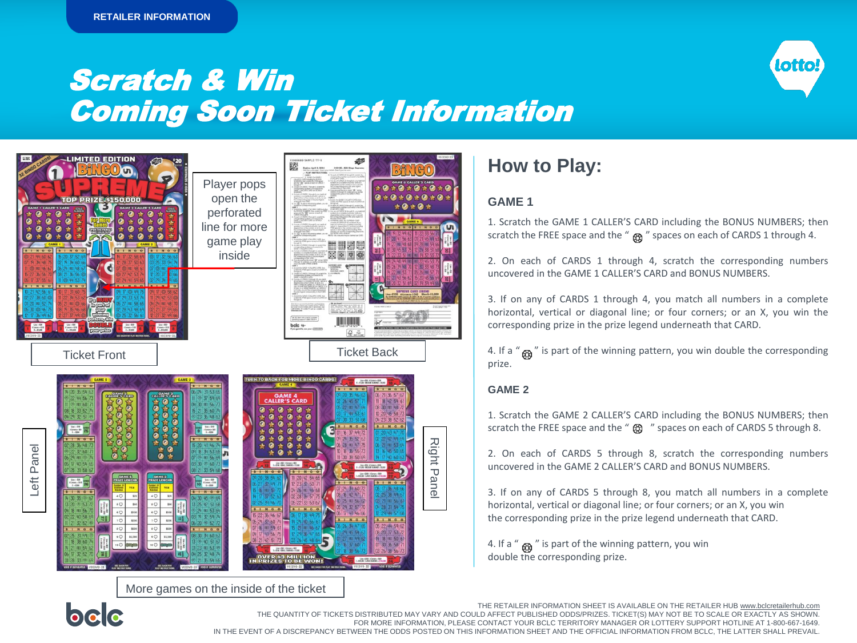### Scratch & Win Coming Soon Ticket Information



More games on the inside of the ticket

### **How to Play:**

#### **GAME 1**

1. Scratch the GAME 1 CALLER'S CARD including the BONUS NUMBERS; then scratch the FREE space and the " $\alpha$ " spaces on each of CARDS 1 through 4.

lotto

2. On each of CARDS 1 through 4, scratch the corresponding numbers uncovered in the GAME 1 CALLER'S CARD and BONUS NUMBERS.

3. If on any of CARDS 1 through 4, you match all numbers in a complete horizontal, vertical or diagonal line; or four corners; or an X, you win the corresponding prize in the prize legend underneath that CARD.

4. If a " $_{\mathcal{B}}$ " is part of the winning pattern, you win double the corresponding prize.

#### **GAME 2**

1. Scratch the GAME 2 CALLER'S CARD including the BONUS NUMBERS; then scratch the FREE space and the " $\circled{3}$ " spaces on each of CARDS 5 through 8.

2. On each of CARDS 5 through 8, scratch the corresponding numbers uncovered in the GAME 2 CALLER'S CARD and BONUS NUMBERS.

3. If on any of CARDS 5 through 8, you match all numbers in a complete horizontal, vertical or diagonal line; or four corners; or an X, you win the corresponding prize in the prize legend underneath that CARD.

4. If a " $\omega$ " is part of the winning pattern, you win double the corresponding prize.



The Retailer Information Sheet is also available on bclcretailerhub.com. THE QUANTITY OF TICKETS DISTRIBUTED MAY VARY AND COULD AFFECT PUBLISHED ODDS/PRIZES. TICKET(S) MAY NOT BE TO SCALE OR EXACTLY AS SHOWN. For more information, please contact your BCLC Territory Manager or Lottery Support Hotline at 1-800-667-1649. FOR MORE INFORMATION, PLEASE CONTACT YOUR BCLC TERRITORY MANAGER OR LOTTERY SUPPORT HOTLINE AT 1-800-667-1649. THE RETAILER INFORMATION SHEET IS AVAILABLE ON THE RETAILER HUB www.bclcretailerhub.com IN THE EVENT OF A DISCREPANCY BETWEEN THE ODDS POSTED ON THIS INFORMATION SHEET AND THE OFFICIAL INFORMATION FROM BCLC, THE LATTER SHALL PREVAIL.